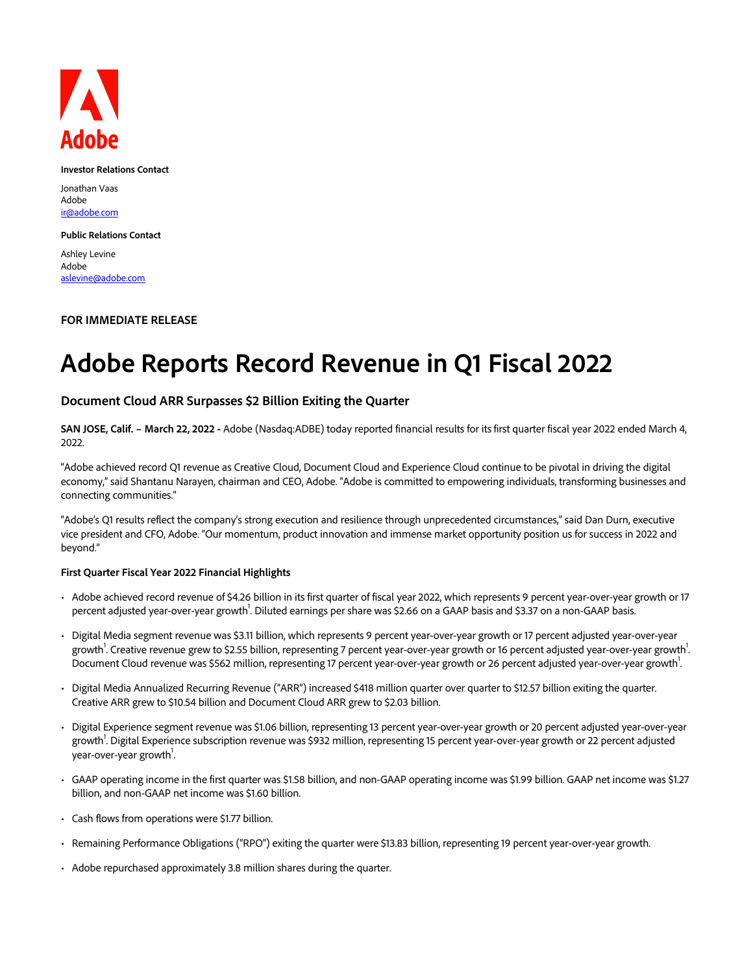

#### **Investor Relations Contact**

Jonathan Vaas Adobe ir@adobe.com

#### **Public Relations Contact**

Ashley Levine Adobe aslevine@adobe.com

## **FOR IMMEDIATE RELEASE**

# **Adobe Reports Record Revenue in Q1 Fiscal 2022**

## **Document Cloud ARR Surpasses \$2 Billion Exiting the Quarter**

**SAN JOSE, Calif. – March 22, 2022 -** Adobe (Nasdaq:ADBE) today reported financial results for its first quarter fiscal year 2022 ended March 4, 2022.

"Adobe achieved record Q1 revenue as Creative Cloud, Document Cloud and Experience Cloud continue to be pivotal in driving the digital economy," said Shantanu Narayen, chairman and CEO, Adobe. "Adobe is committed to empowering individuals, transforming businesses and connecting communities."

"Adobe's Q1 results reflect the company's strong execution and resilience through unprecedented circumstances," said Dan Durn, executive vice president and CFO, Adobe. "Our momentum, product innovation and immense market opportunity position us for success in 2022 and beyond."

#### **First Quarter Fiscal Year 2022 Financial Highlights**

- Adobe achieved record revenue of \$4.26 billion in its first quarter of fiscal year 2022, which represents 9 percent year-over-year growth or 17 percent adjusted year-over-year growth<sup>1</sup>. Diluted earnings per share was \$2.66 on a GAAP basis and \$3.37 on a non-GAAP basis.
- Digital Media segment revenue was \$3.11 billion, which represents 9 percent year-over-year growth or 17 percent adjusted year-over-year growth<sup>1</sup>. Creative revenue grew to \$2.55 billion, representing 7 percent year-over-year growth or 16 percent adjusted year-over-year growth<sup>1</sup> . Document Cloud revenue was \$562 million, representing 17 percent year-over-year growth or 26 percent adjusted year-over-year growth<sup>1</sup>. .
- Digital Media Annualized Recurring Revenue ("ARR") increased \$418 million quarter over quarter to \$12.57 billion exiting the quarter. Creative ARR grew to \$10.54 billion and Document Cloud ARR grew to \$2.03 billion.
- Digital Experience segment revenue was \$1.06 billion, representing 13 percent year-over-year growth or 20 percent adjusted year-over-year growth<sup>1</sup>. Digital Experience subscription revenue was \$932 million, representing 15 percent year-over-year growth or 22 percent adjusted year-over-year growth<sup>1</sup>. .
- GAAP operating income in the first quarter was \$1.58 billion, and non-GAAP operating income was \$1.99 billion. GAAP net income was \$1.27 billion, and non-GAAP net income was \$1.60 billion.
- Cash flows from operations were \$1.77 billion.
- Remaining Performance Obligations ("RPO") exiting the quarter were \$13.83 billion, representing 19 percent year-over-year growth.
- Adobe repurchased approximately 3.8 million shares during the quarter.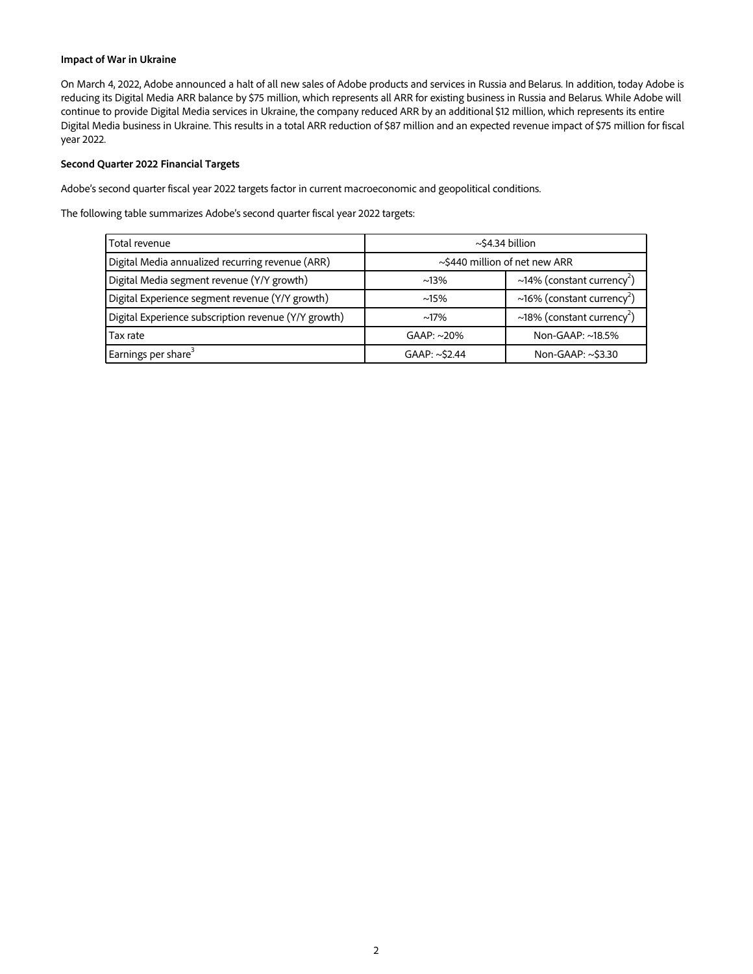### **Impact of War in Ukraine**

On March 4, 2022, Adobe announced a halt of all new sales of Adobe products and services in Russia and Belarus. In addition, today Adobe is reducing its Digital Media ARR balance by \$75 million, which represents all ARR for existing business in Russia and Belarus. While Adobe will continue to provide Digital Media services in Ukraine, the company reduced ARR by an additional \$12 million, which represents its entire Digital Media business in Ukraine. This results in a total ARR reduction of \$87 million and an expected revenue impact of \$75 million for fiscal year 2022.

#### **Second Quarter 2022 Financial Targets**

Adobe's second quarter fiscal year 2022 targets factor in current macroeconomic and geopolitical conditions.

The following table summarizes Adobe's second quarter fiscal year 2022 targets:

| Total revenue                                        | $\sim$ \$4.34 billion               |                                        |  |  |  |
|------------------------------------------------------|-------------------------------------|----------------------------------------|--|--|--|
| Digital Media annualized recurring revenue (ARR)     | $\sim$ \$440 million of net new ARR |                                        |  |  |  |
| Digital Media segment revenue (Y/Y growth)           | $~13\%$                             | ~14% (constant currency <sup>2</sup> ) |  |  |  |
| Digital Experience segment revenue (Y/Y growth)      | $~15\%$                             | ~16% (constant currency <sup>2</sup> ) |  |  |  |
| Digital Experience subscription revenue (Y/Y growth) | $~17\%$                             | ~18% (constant currency <sup>2</sup> ) |  |  |  |
| Tax rate                                             | $GAAP: ~20\%$                       | Non-GAAP: ~18.5%                       |  |  |  |
| Earnings per share <sup>3</sup>                      | GAAP: ~\$2.44                       | Non-GAAP: ~\$3.30                      |  |  |  |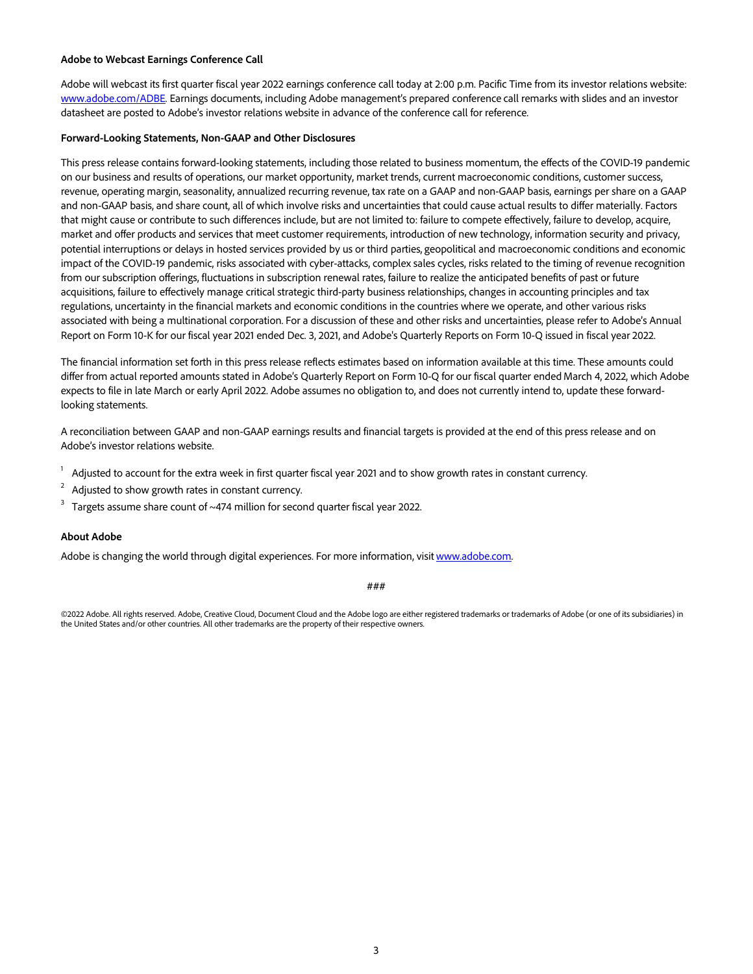#### **Adobe to Webcast Earnings Conference Call**

Adobe will webcast its first quarter fiscal year 2022 earnings conference call today at 2:00 p.m. Pacific Time from its investor relations website: www.adobe.com/ADBE. Earnings documents, including Adobe management's prepared conference call remarks with slides and an investor datasheet are posted to Adobe's investor relations website in advance of the conference call for reference.

#### **Forward-Looking Statements, Non-GAAP and Other Disclosures**

This press release contains forward-looking statements, including those related to business momentum, the effects of the COVID-19 pandemic on our business and results of operations, our market opportunity, market trends, current macroeconomic conditions, customer success, revenue, operating margin, seasonality, annualized recurring revenue, tax rate on a GAAP and non-GAAP basis, earnings per share on a GAAP and non-GAAP basis, and share count, all of which involve risks and uncertainties that could cause actual results to differ materially. Factors that might cause or contribute to such differences include, but are not limited to: failure to compete effectively, failure to develop, acquire, market and offer products and services that meet customer requirements, introduction of new technology, information security and privacy, potential interruptions or delays in hosted services provided by us or third parties, geopolitical and macroeconomic conditions and economic impact of the COVID-19 pandemic, risks associated with cyber-attacks, complex sales cycles, risks related to the timing of revenue recognition from our subscription offerings, fluctuations in subscription renewal rates, failure to realize the anticipated benefits of past or future acquisitions, failure to effectively manage critical strategic third-party business relationships, changes in accounting principles and tax regulations, uncertainty in the financial markets and economic conditions in the countries where we operate, and other various risks associated with being a multinational corporation. For a discussion of these and other risks and uncertainties, please refer to Adobe's Annual Report on Form 10-K for our fiscal year 2021 ended Dec. 3, 2021, and Adobe's Quarterly Reports on Form 10-Q issued in fiscal year 2022.

The financial information set forth in this press release reflects estimates based on information available at this time. These amounts could differ from actual reported amounts stated in Adobe's Quarterly Report on Form 10-Q for our fiscal quarter ended March 4, 2022, which Adobe expects to file in late March or early April 2022. Adobe assumes no obligation to, and does not currently intend to, update these forwardlooking statements.

A reconciliation between GAAP and non-GAAP earnings results and financial targets is provided at the end of this press release and on Adobe's investor relations website.

- 1 Adjusted to account for the extra week in first quarter fiscal year 2021 and to show growth rates in constant currency.
- 2 Adjusted to show growth rates in constant currency.
- 3 Targets assume share count of ~474 million for second quarter fiscal year 2022.

#### **About Adobe**

Adobe is changing the world through digital experiences. For more information, visit www.adobe.com.

###

©2022 Adobe. All rights reserved. Adobe, Creative Cloud, Document Cloud and the Adobe logo are either registered trademarks or trademarks of Adobe (or one of its subsidiaries) in the United States and/or other countries. All other trademarks are the property of their respective owners.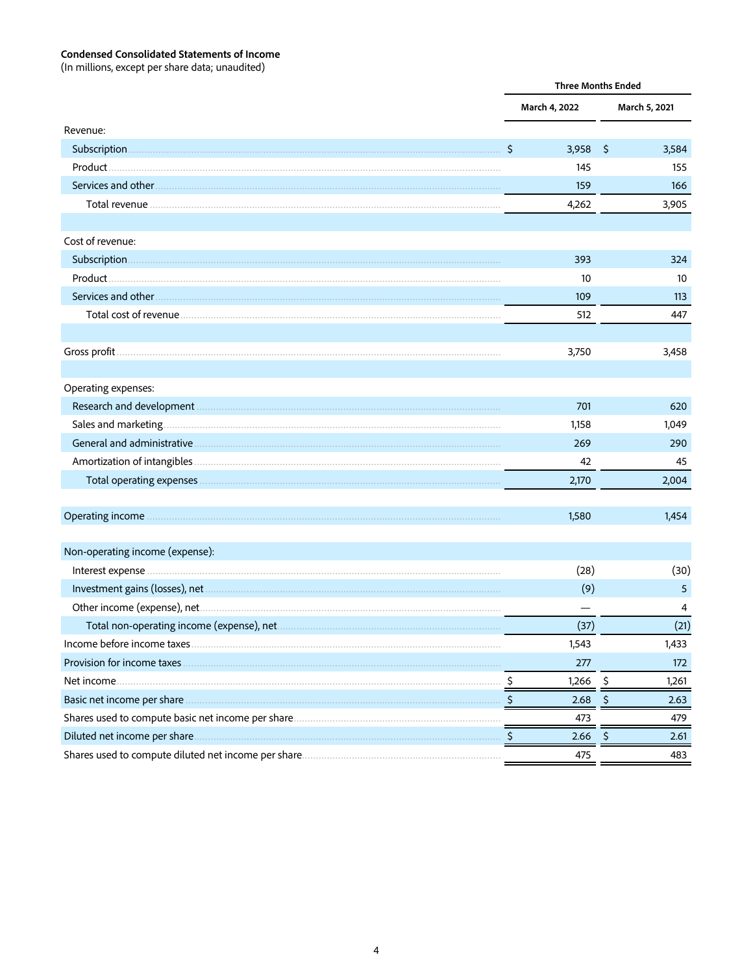# **Condensed Consolidated Statements of Income**<br>(In millions, except per share data; unaudited)

|                                 | <b>Three Months Ended</b> |               |     |               |
|---------------------------------|---------------------------|---------------|-----|---------------|
|                                 |                           | March 4, 2022 |     | March 5, 2021 |
| Revenue:                        |                           |               |     |               |
|                                 | \$                        | 3,958         | -\$ | 3,584         |
|                                 |                           | 145           |     | 155           |
|                                 |                           | 159           |     | 166           |
|                                 |                           | 4,262         |     | 3,905         |
|                                 |                           |               |     |               |
| Cost of revenue:                |                           |               |     |               |
|                                 |                           | 393           |     | 324           |
|                                 |                           | 10            |     | 10            |
|                                 |                           | 109           |     | 113           |
|                                 |                           | 512           |     | 447           |
|                                 |                           |               |     |               |
|                                 |                           | 3,750         |     | 3,458         |
|                                 |                           |               |     |               |
| Operating expenses:             |                           |               |     |               |
|                                 |                           | 701           |     | 620           |
|                                 |                           | 1,158         |     | 1,049         |
|                                 |                           | 269           |     | 290           |
|                                 |                           | 42            |     | 45            |
|                                 |                           | 2,170         |     | 2,004         |
|                                 |                           |               |     |               |
|                                 |                           | 1,580         |     | 1,454         |
|                                 |                           |               |     |               |
| Non-operating income (expense): |                           |               |     |               |
|                                 |                           | (28)          |     | (30)          |
|                                 |                           | (9)           |     | 5             |
|                                 |                           |               |     | 4             |
|                                 |                           | (37)          |     | (21)          |
|                                 |                           | 1,543         |     | 1,433         |
|                                 |                           | 277           |     | 172           |
| Net income.                     |                           | 1,266         | -Ş  | 1,261         |
| Basic net income per share.     |                           | 2.68          |     | 2.63          |
|                                 |                           | 473           |     | 479           |
|                                 |                           | 2.66          | \$  | 2.61          |
|                                 |                           | 475           |     | 483           |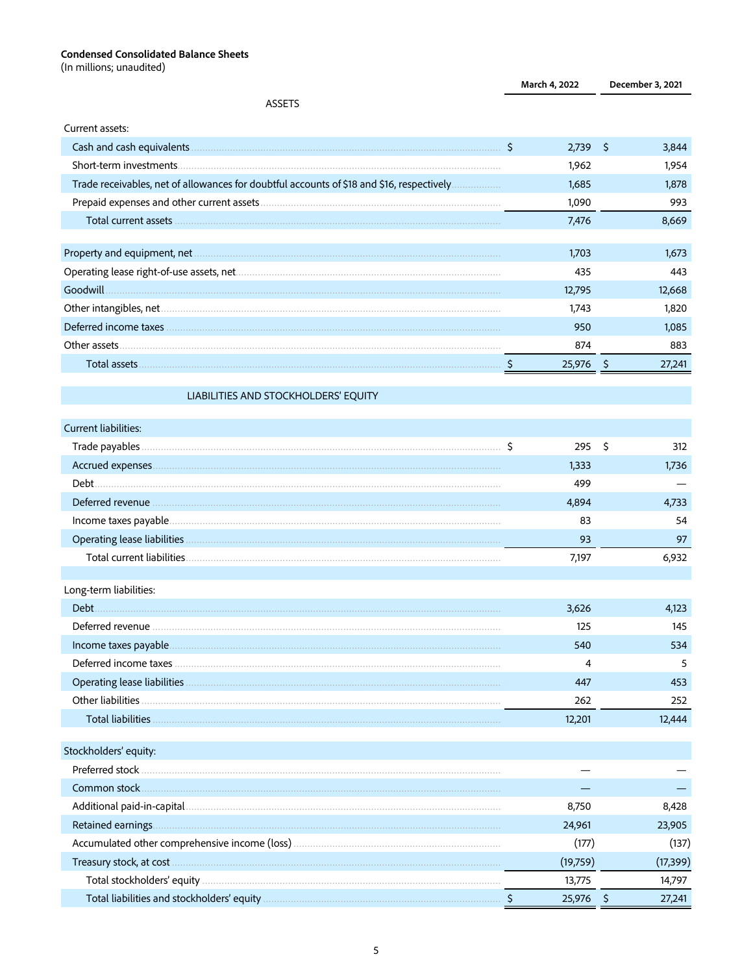# Condensed Consolidated Balance Sheets<br>(In millions; unaudited)

|                                                                                                                                                                                                                                      |    | March 4, 2022 |     | December 3, 2021 |
|--------------------------------------------------------------------------------------------------------------------------------------------------------------------------------------------------------------------------------------|----|---------------|-----|------------------|
| <b>ASSETS</b>                                                                                                                                                                                                                        |    |               |     |                  |
| Current assets:                                                                                                                                                                                                                      |    |               |     |                  |
|                                                                                                                                                                                                                                      | S. | 2,739         | \$  | 3,844            |
|                                                                                                                                                                                                                                      |    | 1,962         |     | 1,954            |
| Trade receivables, net of allowances for doubtful accounts of \$18 and \$16, respectively                                                                                                                                            |    | 1,685         |     | 1,878            |
|                                                                                                                                                                                                                                      |    | 1,090         |     | 993              |
| Total current assets <b>with a continuum continuum continuum continuum continuum continuum continuum continuum continuum continuum continuum continuum continuum continuum continuum continuum continuum continuum continuum con</b> |    | 7,476         |     | 8,669            |
|                                                                                                                                                                                                                                      |    |               |     |                  |
|                                                                                                                                                                                                                                      |    | 1,703         |     | 1,673            |
|                                                                                                                                                                                                                                      |    | 435           |     | 443              |
| Goodwill                                                                                                                                                                                                                             |    | 12,795        |     | 12,668           |
|                                                                                                                                                                                                                                      |    | 1,743         |     | 1,820            |
|                                                                                                                                                                                                                                      |    | 950           |     | 1,085            |
|                                                                                                                                                                                                                                      |    | 874           |     | 883              |
|                                                                                                                                                                                                                                      |    | 25,976        | -\$ | 27,241           |
|                                                                                                                                                                                                                                      |    |               |     |                  |
| LIABILITIES AND STOCKHOLDERS' EQUITY                                                                                                                                                                                                 |    |               |     |                  |
| <b>Current liabilities:</b>                                                                                                                                                                                                          |    |               |     |                  |
|                                                                                                                                                                                                                                      | S  | 295           | \$  | 312              |
|                                                                                                                                                                                                                                      |    | 1,333         |     | 1,736            |
|                                                                                                                                                                                                                                      |    | 499           |     |                  |
|                                                                                                                                                                                                                                      |    | 4,894         |     | 4,733            |
|                                                                                                                                                                                                                                      |    | 83            |     | 54               |
|                                                                                                                                                                                                                                      |    | 93            |     | 97               |
|                                                                                                                                                                                                                                      |    | 7,197         |     | 6,932            |
|                                                                                                                                                                                                                                      |    |               |     |                  |
| Long-term liabilities:                                                                                                                                                                                                               |    |               |     |                  |
| Debt.                                                                                                                                                                                                                                |    | 3,626         |     | 4,123            |
| Deferred revenue                                                                                                                                                                                                                     |    | 125           |     | 145              |
|                                                                                                                                                                                                                                      |    | 540           |     | 534              |
|                                                                                                                                                                                                                                      |    | 4             |     | 5                |
|                                                                                                                                                                                                                                      |    | 447           |     | 453              |
|                                                                                                                                                                                                                                      |    | 262           |     | 252              |
|                                                                                                                                                                                                                                      |    | 12,201        |     | 12,444           |
|                                                                                                                                                                                                                                      |    |               |     |                  |
| Stockholders' equity:                                                                                                                                                                                                                |    |               |     |                  |
| Preferred stock                                                                                                                                                                                                                      |    |               |     |                  |
|                                                                                                                                                                                                                                      |    |               |     |                  |
|                                                                                                                                                                                                                                      |    | 8,750         |     | 8,428            |
|                                                                                                                                                                                                                                      |    | 24,961        |     | 23,905           |
|                                                                                                                                                                                                                                      |    | (177)         |     | (137)            |
|                                                                                                                                                                                                                                      |    | (19,759)      |     | (17, 399)        |
|                                                                                                                                                                                                                                      |    | 13,775        |     | 14,797           |
|                                                                                                                                                                                                                                      |    | 25,976        | -\$ | 27,241           |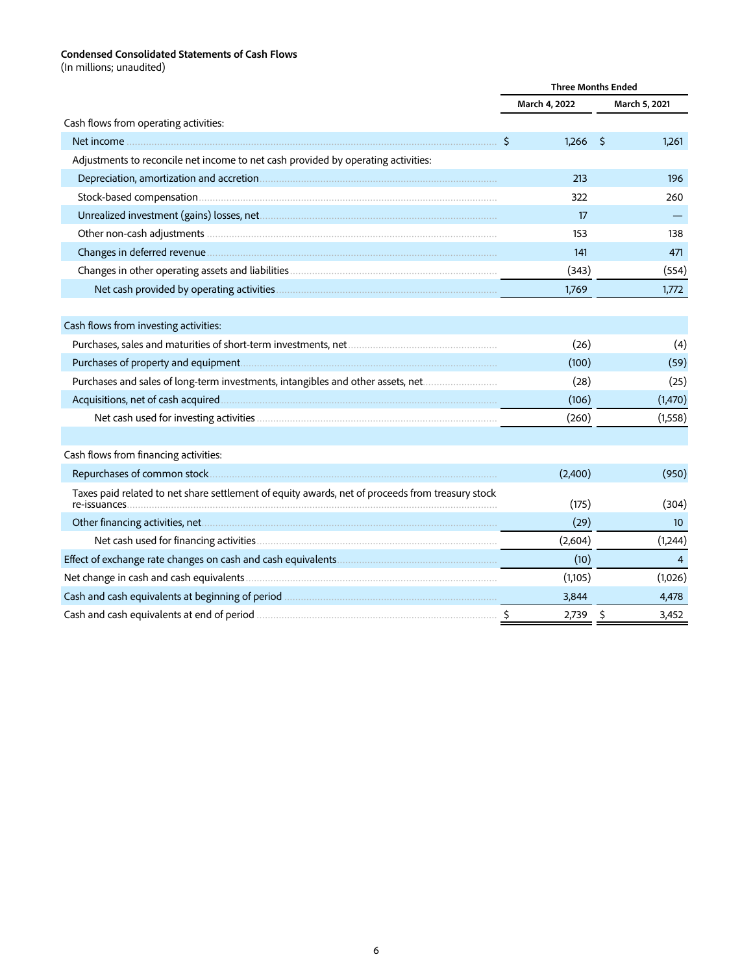#### **Condensed Consolidated Statements of Cash Flows**

(In millions; unaudited)

|                                                                                                                   | <b>Three Months Ended</b> |                 |  |
|-------------------------------------------------------------------------------------------------------------------|---------------------------|-----------------|--|
|                                                                                                                   | March 4, 2022             | March 5, 2021   |  |
| Cash flows from operating activities:                                                                             |                           |                 |  |
|                                                                                                                   | \$<br>$1,266$ \$          | 1,261           |  |
| Adjustments to reconcile net income to net cash provided by operating activities:                                 |                           |                 |  |
|                                                                                                                   | 213                       | 196             |  |
|                                                                                                                   | 322                       | 260             |  |
|                                                                                                                   | 17                        |                 |  |
|                                                                                                                   | 153                       | 138             |  |
|                                                                                                                   | 141                       | 471             |  |
|                                                                                                                   | (343)                     | (554)           |  |
|                                                                                                                   | 1,769                     | 1,772           |  |
|                                                                                                                   |                           |                 |  |
| Cash flows from investing activities:                                                                             |                           |                 |  |
|                                                                                                                   | (26)                      | (4)             |  |
|                                                                                                                   | (100)                     | (59)            |  |
| Purchases and sales of long-term investments, intangibles and other assets, net                                   | (28)                      | (25)            |  |
|                                                                                                                   | (106)                     | (1,470)         |  |
|                                                                                                                   | (260)                     | (1,558)         |  |
|                                                                                                                   |                           |                 |  |
| Cash flows from financing activities:                                                                             |                           |                 |  |
|                                                                                                                   | (2,400)                   | (950)           |  |
| Taxes paid related to net share settlement of equity awards, net of proceeds from treasury stock<br>re-issuances. | (175)                     | (304)           |  |
|                                                                                                                   | (29)                      | 10 <sup>°</sup> |  |
|                                                                                                                   | (2,604)                   | (1,244)         |  |
|                                                                                                                   | (10)                      | $\overline{4}$  |  |
|                                                                                                                   | (1,105)                   | (1,026)         |  |
|                                                                                                                   | 3,844                     | 4,478           |  |
|                                                                                                                   | 2,739                     | \$<br>3,452     |  |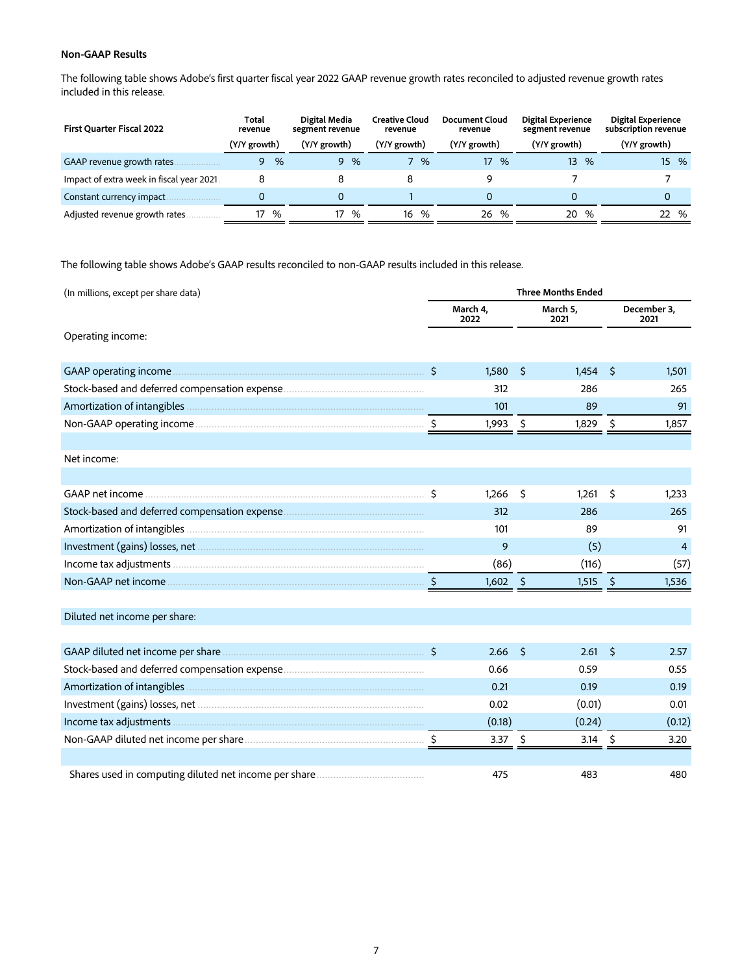# **Non-GAAP Results**

The following table shows Adobe's first quarter fiscal year 2022 GAAP revenue growth rates reconciled to adjusted revenue growth rates included in this release.

| First Quarter Fiscal 2022                 | Total<br>revenue | Digital Media<br>segment revenue | <b>Creative Cloud</b><br>revenue | Document Cloud<br>revenue | Digital Experience<br>segment revenue | Digital Experience<br>subscription revenue |
|-------------------------------------------|------------------|----------------------------------|----------------------------------|---------------------------|---------------------------------------|--------------------------------------------|
|                                           | (Y/Y growth)     | (Y/Y growth)                     | (Y/Y growth)                     | (Y/Y growth)              | (Y/Y growth)                          | (Y/Y growth)                               |
| GAAP revenue growth rates.                | %<br>Q.          | %<br>9                           | %                                | 17<br>%                   | 13 <sup>1</sup><br>$\%$               | 15 %                                       |
| Impact of extra week in fiscal year 2021. |                  |                                  | 8                                |                           |                                       |                                            |
| Constant currency impact                  |                  | 0                                |                                  |                           |                                       | 0                                          |
| Adjusted revenue growth rates             | %<br>17          | %<br>17                          | %<br>16                          | %<br>26                   | 20<br>%                               | 22 %                                       |

The following table shows Adobe's GAAP results reconciled to non-GAAP results included in this release.

| (In millions, except per share data) | <b>Three Months Ended</b> |                  |                     |                  |            |                     |
|--------------------------------------|---------------------------|------------------|---------------------|------------------|------------|---------------------|
|                                      |                           | March 4,<br>2022 |                     | March 5.<br>2021 |            | December 3,<br>2021 |
| Operating income:                    |                           |                  |                     |                  |            |                     |
| GAAP operating income                | $\ddot{\mathsf{S}}$       | 1,580            | \$                  | 1,454            | Ŝ          | 1,501               |
|                                      |                           | 312              |                     | 286              |            | 265                 |
|                                      |                           | 101              |                     | 89               |            | 91                  |
|                                      |                           | 1,993            | $\ddot{\mathsf{s}}$ | 1,829            | \$         | 1,857               |
| Net income:                          |                           |                  |                     |                  |            |                     |
|                                      |                           |                  |                     |                  |            |                     |
|                                      |                           | 1,266            | \$                  | 1,261            | \$         | 1,233               |
|                                      |                           | 312              |                     | 286              |            | 265                 |
|                                      |                           | 101              |                     | 89               |            | 91                  |
|                                      |                           | 9                |                     | (5)              |            | $\overline{4}$      |
|                                      |                           | (86)             |                     | (116)            |            | (57)                |
|                                      |                           | 1,602            | $\sqrt{5}$          | 1,515            | $\sqrt{5}$ | 1,536               |
| Diluted net income per share:        |                           |                  |                     |                  |            |                     |
|                                      | Ŝ.                        | 2.66             | -Ŝ                  | 2.61             | Š.         | 2.57                |
|                                      |                           | 0.66             |                     | 0.59             |            | 0.55                |
|                                      |                           | 0.21             |                     | 0.19             |            | 0.19                |
|                                      |                           | 0.02             |                     | (0.01)           |            | 0.01                |
|                                      |                           | (0.18)           |                     | (0.24)           |            | (0.12)              |
|                                      |                           | 3.37 \$          |                     | 3.14             | -\$        | 3.20                |
|                                      |                           | 475              |                     | 483              |            | 480                 |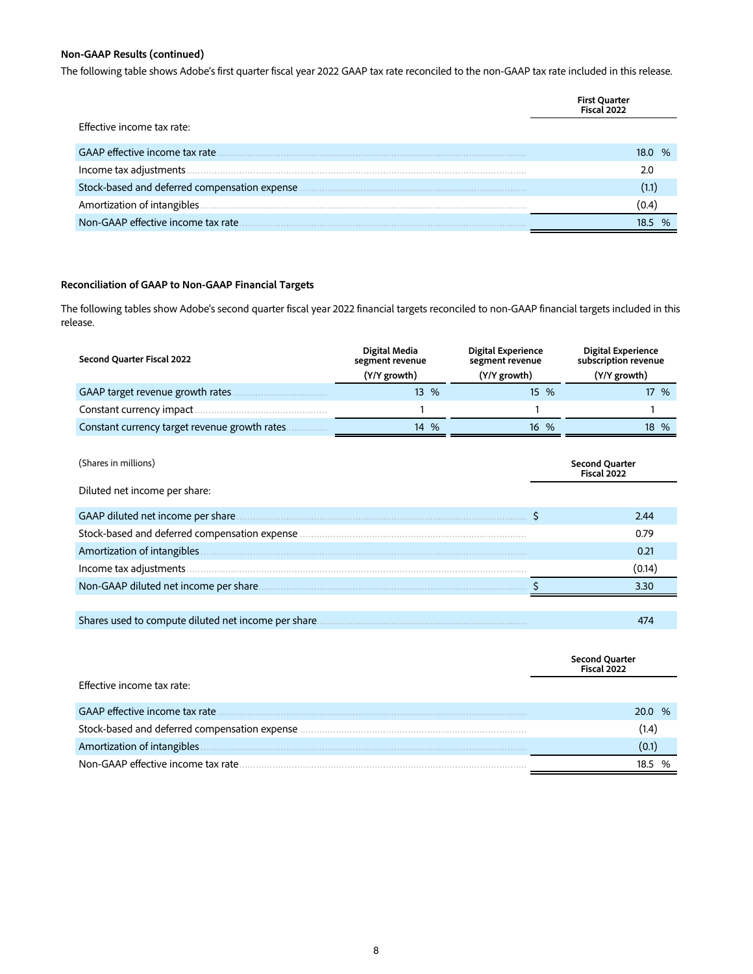# **Non-GAAP Results (continued)**

The following table shows Adobe's first quarter fiscal year 2022 GAAP tax rate reconciled to the non-GAAP tax rate included in this release.

|                                               | First Quarter<br><b>Fiscal 2022</b> |
|-----------------------------------------------|-------------------------------------|
| Effective income tax rate:                    |                                     |
| GAAP effective income tax rate                | 18.O.<br>%                          |
|                                               | 2.0                                 |
| Stock-based and deferred compensation expense |                                     |
| Amortization of intangibles                   |                                     |
| Non-GAAP effective income tax rate            |                                     |

### **Reconciliation of GAAP to Non-GAAP Financial Targets**

The following tables show Adobe's second quarter fiscal year 2022 financial targets reconciled to non-GAAP financial targets included in this release.

| Second Quarter Fiscal 2022                     | Digital Media<br>segment revenue<br>(Y/Y growth) | <b>Digital Experience</b><br>segment revenue<br>(Y/Y growth) | <b>Digital Experience</b><br>subscription revenue<br>(Y/Y growth) |
|------------------------------------------------|--------------------------------------------------|--------------------------------------------------------------|-------------------------------------------------------------------|
| GAAP target revenue growth rates               | 13 %                                             | 15 %                                                         | 17 %                                                              |
| Constant currency impact.                      |                                                  |                                                              |                                                                   |
| Constant currency target revenue growth rates. | $\%$<br>14                                       | $16 \frac{9}{6}$                                             | 18 %                                                              |

| (Shares in millions)                                 | <b>Second Quarter</b><br>Fiscal 2022 |
|------------------------------------------------------|--------------------------------------|
| Diluted net income per share:                        |                                      |
| GAAP diluted net income per share.                   | 2.44                                 |
|                                                      | 0.79                                 |
| Amortization of intangibles                          | 0.21                                 |
| Income tax adjustments.                              | (0.14)                               |
| Non-GAAP diluted net income per share.               | 3.30                                 |
|                                                      |                                      |
| Shares used to compute diluted net income per share. | 474                                  |
|                                                      |                                      |

|                                               | Second Quarter<br>Fiscal 2022 |
|-----------------------------------------------|-------------------------------|
| Effective income tax rate:                    |                               |
|                                               | 20.0 %                        |
| Stock-based and deferred compensation expense | (1.4)                         |
|                                               |                               |
| Non-GAAP effective income tax rate            |                               |